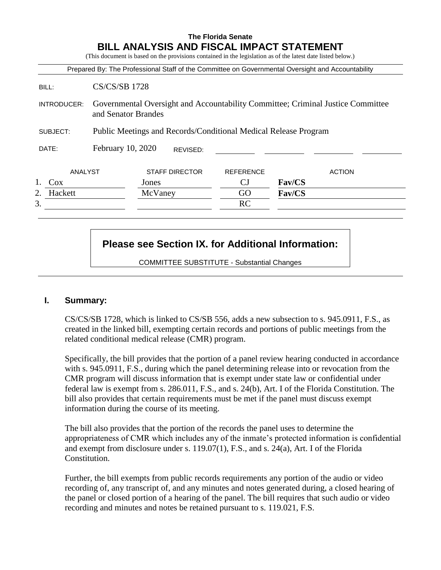# **The Florida Senate BILL ANALYSIS AND FISCAL IMPACT STATEMENT**

(This document is based on the provisions contained in the legislation as of the latest date listed below.)

|               |                                                                                                        |                       |                  | Prepared By: The Professional Staff of the Committee on Governmental Oversight and Accountability |
|---------------|--------------------------------------------------------------------------------------------------------|-----------------------|------------------|---------------------------------------------------------------------------------------------------|
| BILL:         | <b>CS/CS/SB 1728</b>                                                                                   |                       |                  |                                                                                                   |
| INTRODUCER:   | Governmental Oversight and Accountability Committee; Criminal Justice Committee<br>and Senator Brandes |                       |                  |                                                                                                   |
| SUBJECT:      | Public Meetings and Records/Conditional Medical Release Program                                        |                       |                  |                                                                                                   |
| DATE:         | February 10, 2020                                                                                      | REVISED:              |                  |                                                                                                   |
| ANALYST       |                                                                                                        | <b>STAFF DIRECTOR</b> | <b>REFERENCE</b> | <b>ACTION</b>                                                                                     |
| Cox           |                                                                                                        | Jones                 | СJ               | Fav/CS                                                                                            |
| Hackett<br>2. |                                                                                                        | McVaney               | GO               | Fav/CS                                                                                            |
| 3.            |                                                                                                        |                       | RC               |                                                                                                   |

# **Please see Section IX. for Additional Information:**

COMMITTEE SUBSTITUTE - Substantial Changes

### **I. Summary:**

CS/CS/SB 1728, which is linked to CS/SB 556, adds a new subsection to s. 945.0911, F.S., as created in the linked bill, exempting certain records and portions of public meetings from the related conditional medical release (CMR) program.

Specifically, the bill provides that the portion of a panel review hearing conducted in accordance with s. 945.0911, F.S., during which the panel determining release into or revocation from the CMR program will discuss information that is exempt under state law or confidential under federal law is exempt from s. 286.011, F.S., and s. 24(b), Art. I of the Florida Constitution. The bill also provides that certain requirements must be met if the panel must discuss exempt information during the course of its meeting.

The bill also provides that the portion of the records the panel uses to determine the appropriateness of CMR which includes any of the inmate's protected information is confidential and exempt from disclosure under s. 119.07(1), F.S., and s. 24(a), Art. I of the Florida Constitution.

Further, the bill exempts from public records requirements any portion of the audio or video recording of, any transcript of, and any minutes and notes generated during, a closed hearing of the panel or closed portion of a hearing of the panel. The bill requires that such audio or video recording and minutes and notes be retained pursuant to s. 119.021, F.S.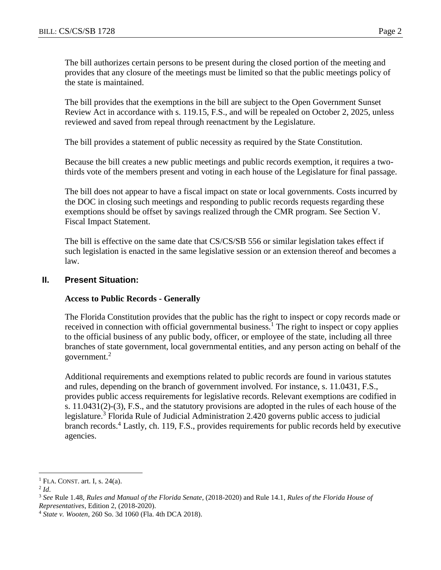The bill authorizes certain persons to be present during the closed portion of the meeting and provides that any closure of the meetings must be limited so that the public meetings policy of the state is maintained.

The bill provides that the exemptions in the bill are subject to the Open Government Sunset Review Act in accordance with s. 119.15, F.S., and will be repealed on October 2, 2025, unless reviewed and saved from repeal through reenactment by the Legislature.

The bill provides a statement of public necessity as required by the State Constitution.

Because the bill creates a new public meetings and public records exemption, it requires a twothirds vote of the members present and voting in each house of the Legislature for final passage.

The bill does not appear to have a fiscal impact on state or local governments. Costs incurred by the DOC in closing such meetings and responding to public records requests regarding these exemptions should be offset by savings realized through the CMR program. See Section V. Fiscal Impact Statement.

The bill is effective on the same date that CS/CS/SB 556 or similar legislation takes effect if such legislation is enacted in the same legislative session or an extension thereof and becomes a law.

#### **II. Present Situation:**

#### **Access to Public Records - Generally**

The Florida Constitution provides that the public has the right to inspect or copy records made or received in connection with official governmental business.<sup>1</sup> The right to inspect or copy applies to the official business of any public body, officer, or employee of the state, including all three branches of state government, local governmental entities, and any person acting on behalf of the government.<sup>2</sup>

Additional requirements and exemptions related to public records are found in various statutes and rules, depending on the branch of government involved. For instance, s. 11.0431, F.S., provides public access requirements for legislative records. Relevant exemptions are codified in s. 11.0431(2)-(3), F.S., and the statutory provisions are adopted in the rules of each house of the legislature.<sup>3</sup> Florida Rule of Judicial Administration 2.420 governs public access to judicial branch records.<sup>4</sup> Lastly, ch. 119, F.S., provides requirements for public records held by executive agencies.

 $\overline{a}$ 

 $<sup>1</sup>$  FLA. CONST. art. I, s. 24(a).</sup>

<sup>2</sup> *Id*.

<sup>3</sup> *See* Rule 1.48, *Rules and Manual of the Florida Senate*, (2018-2020) and Rule 14.1, *Rules of the Florida House of Representatives*, Edition 2, (2018-2020).

<sup>4</sup> *State v. Wooten*, 260 So. 3d 1060 (Fla. 4th DCA 2018).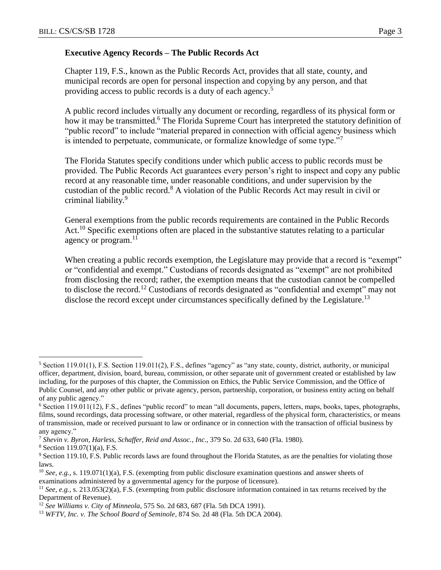Chapter 119, F.S., known as the Public Records Act, provides that all state, county, and municipal records are open for personal inspection and copying by any person, and that providing access to public records is a duty of each agency.<sup>5</sup>

A public record includes virtually any document or recording, regardless of its physical form or how it may be transmitted.<sup>6</sup> The Florida Supreme Court has interpreted the statutory definition of "public record" to include "material prepared in connection with official agency business which is intended to perpetuate, communicate, or formalize knowledge of some type."<sup>7</sup>

The Florida Statutes specify conditions under which public access to public records must be provided. The Public Records Act guarantees every person's right to inspect and copy any public record at any reasonable time, under reasonable conditions, and under supervision by the custodian of the public record.<sup>8</sup> A violation of the Public Records Act may result in civil or criminal liability.<sup>9</sup>

General exemptions from the public records requirements are contained in the Public Records Act.<sup>10</sup> Specific exemptions often are placed in the substantive statutes relating to a particular agency or program. $^{11}$ 

When creating a public records exemption, the Legislature may provide that a record is "exempt" or "confidential and exempt." Custodians of records designated as "exempt" are not prohibited from disclosing the record; rather, the exemption means that the custodian cannot be compelled to disclose the record.<sup>12</sup> Custodians of records designated as "confidential and exempt" may not disclose the record except under circumstances specifically defined by the Legislature.<sup>13</sup>

 $\overline{a}$ 

 $5$  Section 119.01(1), F.S. Section 119.011(2), F.S., defines "agency" as "any state, county, district, authority, or municipal officer, department, division, board, bureau, commission, or other separate unit of government created or established by law including, for the purposes of this chapter, the Commission on Ethics, the Public Service Commission, and the Office of Public Counsel, and any other public or private agency, person, partnership, corporation, or business entity acting on behalf of any public agency."

<sup>6</sup> Section 119.011(12), F.S., defines "public record" to mean "all documents, papers, letters, maps, books, tapes, photographs, films, sound recordings, data processing software, or other material, regardless of the physical form, characteristics, or means of transmission, made or received pursuant to law or ordinance or in connection with the transaction of official business by any agency."

<sup>7</sup> *Shevin v. Byron, Harless, Schaffer, Reid and Assoc., Inc*., 379 So. 2d 633, 640 (Fla. 1980).

 $8$  Section 119.07(1)(a), F.S.

<sup>9</sup> Section 119.10, F.S. Public records laws are found throughout the Florida Statutes, as are the penalties for violating those laws.

<sup>&</sup>lt;sup>10</sup> *See, e.g.*, s. 119.071(1)(a), F.S. (exempting from public disclosure examination questions and answer sheets of examinations administered by a governmental agency for the purpose of licensure).

<sup>11</sup> *See, e.g.*, s. 213.053(2)(a), F.S. (exempting from public disclosure information contained in tax returns received by the Department of Revenue).

<sup>12</sup> *See Williams v. City of Minneola*, 575 So. 2d 683, 687 (Fla. 5th DCA 1991).

<sup>13</sup> *WFTV, Inc. v. The School Board of Seminole*, 874 So. 2d 48 (Fla. 5th DCA 2004).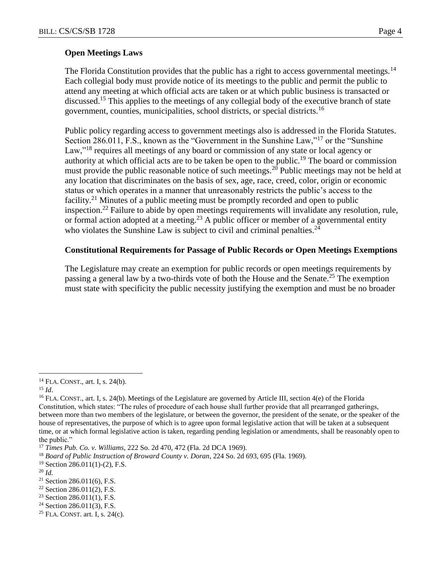#### **Open Meetings Laws**

The Florida Constitution provides that the public has a right to access governmental meetings.<sup>14</sup> Each collegial body must provide notice of its meetings to the public and permit the public to attend any meeting at which official acts are taken or at which public business is transacted or discussed.<sup>15</sup> This applies to the meetings of any collegial body of the executive branch of state government, counties, municipalities, school districts, or special districts.<sup>16</sup>

Public policy regarding access to government meetings also is addressed in the Florida Statutes. Section 286.011, F.S., known as the "Government in the Sunshine Law,"<sup>17</sup> or the "Sunshine Law,"<sup>18</sup> requires all meetings of any board or commission of any state or local agency or authority at which official acts are to be taken be open to the public.<sup>19</sup> The board or commission must provide the public reasonable notice of such meetings.<sup>20</sup> Public meetings may not be held at any location that discriminates on the basis of sex, age, race, creed, color, origin or economic status or which operates in a manner that unreasonably restricts the public's access to the facility.<sup>21</sup> Minutes of a public meeting must be promptly recorded and open to public inspection.<sup>22</sup> Failure to abide by open meetings requirements will invalidate any resolution, rule, or formal action adopted at a meeting.<sup>23</sup> A public officer or member of a governmental entity who violates the Sunshine Law is subject to civil and criminal penalties.<sup>24</sup>

#### **Constitutional Requirements for Passage of Public Records or Open Meetings Exemptions**

The Legislature may create an exemption for public records or open meetings requirements by passing a general law by a two-thirds vote of both the House and the Senate.<sup>25</sup> The exemption must state with specificity the public necessity justifying the exemption and must be no broader

 $\overline{a}$ 

 $24$  Section 286.011(3), F.S.

<sup>14</sup> FLA. CONST., art. I, s. 24(b).

<sup>15</sup> *Id*.

<sup>&</sup>lt;sup>16</sup> FLA. CONST., art. I, s. 24(b). Meetings of the Legislature are governed by Article III, section  $4(e)$  of the Florida Constitution, which states: "The rules of procedure of each house shall further provide that all prearranged gatherings, between more than two members of the legislature, or between the governor, the president of the senate, or the speaker of the house of representatives, the purpose of which is to agree upon formal legislative action that will be taken at a subsequent time, or at which formal legislative action is taken, regarding pending legislation or amendments, shall be reasonably open to the public."

<sup>17</sup> *Times Pub. Co. v. Williams*, 222 So. 2d 470, 472 (Fla. 2d DCA 1969).

<sup>18</sup> *Board of Public Instruction of Broward County v. Doran*, 224 So. 2d 693, 695 (Fla. 1969).

<sup>19</sup> Section 286.011(1)-(2), F.S.

<sup>20</sup> *Id.*

<sup>21</sup> Section 286.011(6), F.S.

 $22$  Section 286.011(2), F.S.

<sup>23</sup> Section 286.011(1), F.S*.*

<sup>&</sup>lt;sup>25</sup> FLA. CONST. art. I, s.  $24(c)$ .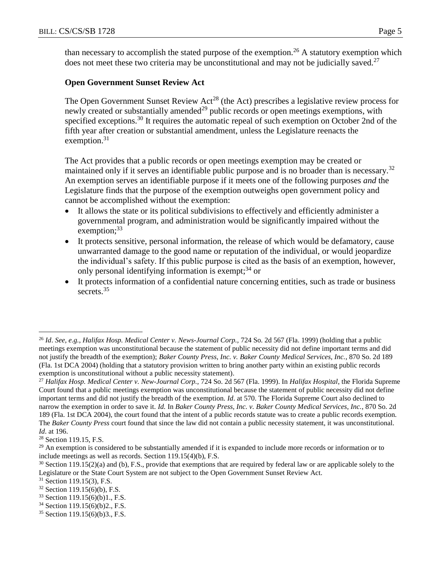than necessary to accomplish the stated purpose of the exemption.<sup>26</sup> A statutory exemption which does not meet these two criteria may be unconstitutional and may not be judicially saved.<sup>27</sup>

# **Open Government Sunset Review Act**

The Open Government Sunset Review Act<sup>28</sup> (the Act) prescribes a legislative review process for newly created or substantially amended<sup>29</sup> public records or open meetings exemptions, with specified exceptions.<sup>30</sup> It requires the automatic repeal of such exemption on October 2nd of the fifth year after creation or substantial amendment, unless the Legislature reenacts the exemption. $31$ 

The Act provides that a public records or open meetings exemption may be created or maintained only if it serves an identifiable public purpose and is no broader than is necessary.<sup>32</sup> An exemption serves an identifiable purpose if it meets one of the following purposes *and* the Legislature finds that the purpose of the exemption outweighs open government policy and cannot be accomplished without the exemption:

- It allows the state or its political subdivisions to effectively and efficiently administer a governmental program, and administration would be significantly impaired without the exemption; $33$
- It protects sensitive, personal information, the release of which would be defamatory, cause unwarranted damage to the good name or reputation of the individual, or would jeopardize the individual's safety. If this public purpose is cited as the basis of an exemption, however, only personal identifying information is exempt;  $34$  or
- It protects information of a confidential nature concerning entities, such as trade or business secrets.<sup>35</sup>

 $\overline{a}$ 

<sup>26</sup> *Id*. *See, e.g.*, *Halifax Hosp. Medical Center v. News-Journal Corp.,* 724 So. 2d 567 (Fla. 1999) (holding that a public meetings exemption was unconstitutional because the statement of public necessity did not define important terms and did not justify the breadth of the exemption); *Baker County Press, Inc. v. Baker County Medical Services, Inc.*, 870 So. 2d 189 (Fla. 1st DCA 2004) (holding that a statutory provision written to bring another party within an existing public records exemption is unconstitutional without a public necessity statement).

<sup>27</sup> *Halifax Hosp. Medical Center v. New-Journal Corp.,* 724 So. 2d 567 (Fla. 1999). In *Halifax Hospital*, the Florida Supreme Court found that a public meetings exemption was unconstitutional because the statement of public necessity did not define important terms and did not justify the breadth of the exemption. *Id*. at 570. The Florida Supreme Court also declined to narrow the exemption in order to save it. *Id.* In *Baker County Press, Inc. v. Baker County Medical Services, Inc.*, 870 So. 2d 189 (Fla. 1st DCA 2004), the court found that the intent of a public records statute was to create a public records exemption. The *Baker County Press* court found that since the law did not contain a public necessity statement, it was unconstitutional. *Id*. at 196.

<sup>28</sup> Section 119.15, F.S.

<sup>&</sup>lt;sup>29</sup> An exemption is considered to be substantially amended if it is expanded to include more records or information or to include meetings as well as records. Section 119.15(4)(b), F.S.

<sup>&</sup>lt;sup>30</sup> Section 119.15(2)(a) and (b), F.S., provide that exemptions that are required by federal law or are applicable solely to the Legislature or the State Court System are not subject to the Open Government Sunset Review Act.

<sup>31</sup> Section 119.15(3), F.S.

<sup>32</sup> Section 119.15(6)(b), F.S.

<sup>33</sup> Section 119.15(6)(b)1., F.S.

<sup>34</sup> Section 119.15(6)(b)2., F.S.

<sup>35</sup> Section 119.15(6)(b)3., F.S.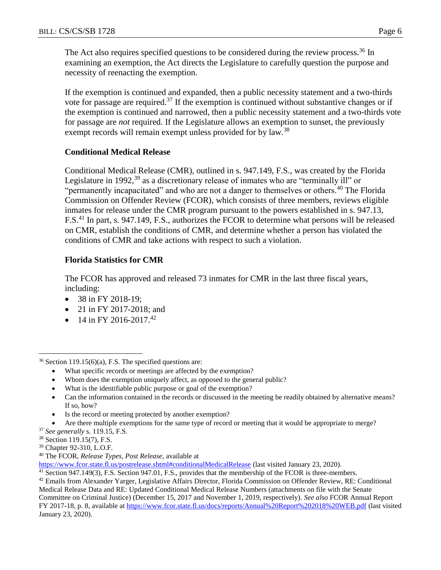The Act also requires specified questions to be considered during the review process.<sup>36</sup> In examining an exemption, the Act directs the Legislature to carefully question the purpose and necessity of reenacting the exemption.

If the exemption is continued and expanded, then a public necessity statement and a two-thirds vote for passage are required.<sup>37</sup> If the exemption is continued without substantive changes or if the exemption is continued and narrowed, then a public necessity statement and a two-thirds vote for passage are *not* required. If the Legislature allows an exemption to sunset, the previously exempt records will remain exempt unless provided for by law.<sup>38</sup>

# **Conditional Medical Release**

Conditional Medical Release (CMR), outlined in s. 947.149, F.S., was created by the Florida Legislature in 1992,<sup>39</sup> as a discretionary release of inmates who are "terminally ill" or "permanently incapacitated" and who are not a danger to themselves or others.<sup>40</sup> The Florida Commission on Offender Review (FCOR), which consists of three members, reviews eligible inmates for release under the CMR program pursuant to the powers established in s. 947.13, F.S.<sup>41</sup> In part, s. 947.149, F.S., authorizes the FCOR to determine what persons will be released on CMR, establish the conditions of CMR, and determine whether a person has violated the conditions of CMR and take actions with respect to such a violation.

# **Florida Statistics for CMR**

The FCOR has approved and released 73 inmates for CMR in the last three fiscal years, including:

- 38 in FY 2018-19;
- 21 in FY 2017-2018; and
- 14 in FY 2016-2017.<sup>42</sup>

- What specific records or meetings are affected by the exemption?
- Whom does the exemption uniquely affect, as opposed to the general public?
- What is the identifiable public purpose or goal of the exemption?
- Can the information contained in the records or discussed in the meeting be readily obtained by alternative means? If so, how?
- Is the record or meeting protected by another exemption?
- Are there multiple exemptions for the same type of record or meeting that it would be appropriate to merge?
- <sup>37</sup> *See generally* s. 119.15, F.S.
- <sup>38</sup> Section 119.15(7), F.S.

 $\overline{a}$ 

- <sup>39</sup> Chapter 92-310, L.O.F.
- <sup>40</sup> The FCOR, *Release Types, Post Release*, available at

<https://www.fcor.state.fl.us/postrelease.shtml#conditionalMedicalRelease> (last visited January 23, 2020).

<sup>41</sup> Section 947.149(3), F.S. Section 947.01, F.S., provides that the membership of the FCOR is three-members.

 $36$  Section 119.15(6)(a), F.S. The specified questions are:

<sup>&</sup>lt;sup>42</sup> Emails from Alexander Yarger, Legislative Affairs Director, Florida Commission on Offender Review, RE: Conditional Medical Release Data and RE: Updated Conditional Medical Release Numbers (attachments on file with the Senate Committee on Criminal Justice) (December 15, 2017 and November 1, 2019, respectively). *See also* FCOR Annual Report FY 2017-18, p. 8, available at<https://www.fcor.state.fl.us/docs/reports/Annual%20Report%202018%20WEB.pdf> (last visited January 23, 2020).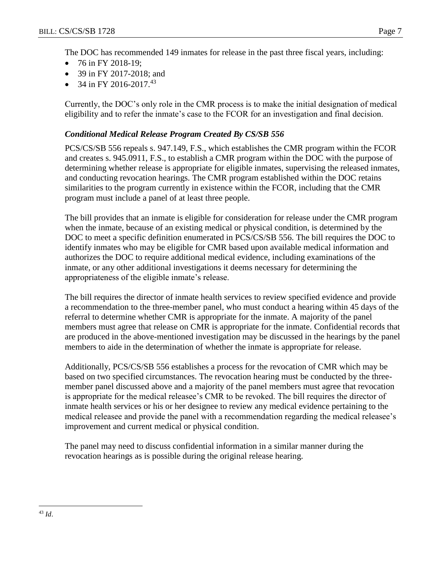The DOC has recommended 149 inmates for release in the past three fiscal years, including:

- 76 in FY 2018-19;
- 39 in FY 2017-2018; and
- 34 in FY 2016-2017.<sup>43</sup>

Currently, the DOC's only role in the CMR process is to make the initial designation of medical eligibility and to refer the inmate's case to the FCOR for an investigation and final decision.

# *Conditional Medical Release Program Created By CS/SB 556*

PCS/CS/SB 556 repeals s. 947.149, F.S., which establishes the CMR program within the FCOR and creates s. 945.0911, F.S., to establish a CMR program within the DOC with the purpose of determining whether release is appropriate for eligible inmates, supervising the released inmates, and conducting revocation hearings. The CMR program established within the DOC retains similarities to the program currently in existence within the FCOR, including that the CMR program must include a panel of at least three people.

The bill provides that an inmate is eligible for consideration for release under the CMR program when the inmate, because of an existing medical or physical condition, is determined by the DOC to meet a specific definition enumerated in PCS/CS/SB 556. The bill requires the DOC to identify inmates who may be eligible for CMR based upon available medical information and authorizes the DOC to require additional medical evidence, including examinations of the inmate, or any other additional investigations it deems necessary for determining the appropriateness of the eligible inmate's release.

The bill requires the director of inmate health services to review specified evidence and provide a recommendation to the three-member panel, who must conduct a hearing within 45 days of the referral to determine whether CMR is appropriate for the inmate. A majority of the panel members must agree that release on CMR is appropriate for the inmate. Confidential records that are produced in the above-mentioned investigation may be discussed in the hearings by the panel members to aide in the determination of whether the inmate is appropriate for release.

Additionally, PCS/CS/SB 556 establishes a process for the revocation of CMR which may be based on two specified circumstances. The revocation hearing must be conducted by the threemember panel discussed above and a majority of the panel members must agree that revocation is appropriate for the medical releasee's CMR to be revoked. The bill requires the director of inmate health services or his or her designee to review any medical evidence pertaining to the medical releasee and provide the panel with a recommendation regarding the medical releasee's improvement and current medical or physical condition.

The panel may need to discuss confidential information in a similar manner during the revocation hearings as is possible during the original release hearing.

 $\overline{a}$ <sup>43</sup> *Id*.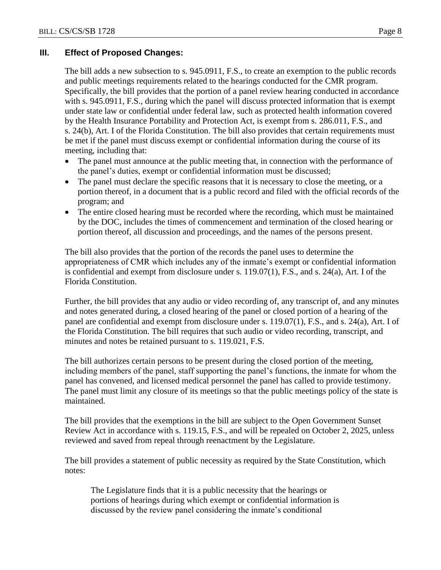# **III. Effect of Proposed Changes:**

The bill adds a new subsection to s. 945.0911, F.S., to create an exemption to the public records and public meetings requirements related to the hearings conducted for the CMR program. Specifically, the bill provides that the portion of a panel review hearing conducted in accordance with s. 945.0911, F.S., during which the panel will discuss protected information that is exempt under state law or confidential under federal law, such as protected health information covered by the Health Insurance Portability and Protection Act, is exempt from s. 286.011, F.S., and s. 24(b), Art. I of the Florida Constitution. The bill also provides that certain requirements must be met if the panel must discuss exempt or confidential information during the course of its meeting, including that:

- The panel must announce at the public meeting that, in connection with the performance of the panel's duties, exempt or confidential information must be discussed;
- The panel must declare the specific reasons that it is necessary to close the meeting, or a portion thereof, in a document that is a public record and filed with the official records of the program; and
- The entire closed hearing must be recorded where the recording, which must be maintained by the DOC, includes the times of commencement and termination of the closed hearing or portion thereof, all discussion and proceedings, and the names of the persons present.

The bill also provides that the portion of the records the panel uses to determine the appropriateness of CMR which includes any of the inmate's exempt or confidential information is confidential and exempt from disclosure under s. 119.07(1), F.S., and s. 24(a), Art. I of the Florida Constitution.

Further, the bill provides that any audio or video recording of, any transcript of, and any minutes and notes generated during, a closed hearing of the panel or closed portion of a hearing of the panel are confidential and exempt from disclosure under s. 119.07(1), F.S., and s. 24(a), Art. I of the Florida Constitution. The bill requires that such audio or video recording, transcript, and minutes and notes be retained pursuant to s. 119.021, F.S.

The bill authorizes certain persons to be present during the closed portion of the meeting, including members of the panel, staff supporting the panel's functions, the inmate for whom the panel has convened, and licensed medical personnel the panel has called to provide testimony. The panel must limit any closure of its meetings so that the public meetings policy of the state is maintained.

The bill provides that the exemptions in the bill are subject to the Open Government Sunset Review Act in accordance with s. 119.15, F.S., and will be repealed on October 2, 2025, unless reviewed and saved from repeal through reenactment by the Legislature.

The bill provides a statement of public necessity as required by the State Constitution, which notes:

The Legislature finds that it is a public necessity that the hearings or portions of hearings during which exempt or confidential information is discussed by the review panel considering the inmate's conditional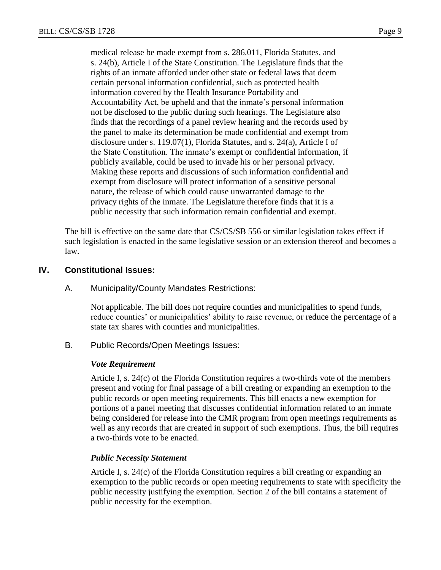medical release be made exempt from s. 286.011, Florida Statutes, and s. 24(b), Article I of the State Constitution. The Legislature finds that the rights of an inmate afforded under other state or federal laws that deem certain personal information confidential, such as protected health information covered by the Health Insurance Portability and Accountability Act, be upheld and that the inmate's personal information not be disclosed to the public during such hearings. The Legislature also finds that the recordings of a panel review hearing and the records used by the panel to make its determination be made confidential and exempt from disclosure under s. 119.07(1), Florida Statutes, and s. 24(a), Article I of the State Constitution. The inmate's exempt or confidential information, if publicly available, could be used to invade his or her personal privacy. Making these reports and discussions of such information confidential and exempt from disclosure will protect information of a sensitive personal nature, the release of which could cause unwarranted damage to the privacy rights of the inmate. The Legislature therefore finds that it is a public necessity that such information remain confidential and exempt.

The bill is effective on the same date that CS/CS/SB 556 or similar legislation takes effect if such legislation is enacted in the same legislative session or an extension thereof and becomes a law.

# **IV. Constitutional Issues:**

## A. Municipality/County Mandates Restrictions:

Not applicable. The bill does not require counties and municipalities to spend funds, reduce counties' or municipalities' ability to raise revenue, or reduce the percentage of a state tax shares with counties and municipalities.

B. Public Records/Open Meetings Issues:

#### *Vote Requirement*

Article I, s. 24(c) of the Florida Constitution requires a two-thirds vote of the members present and voting for final passage of a bill creating or expanding an exemption to the public records or open meeting requirements. This bill enacts a new exemption for portions of a panel meeting that discusses confidential information related to an inmate being considered for release into the CMR program from open meetings requirements as well as any records that are created in support of such exemptions. Thus, the bill requires a two-thirds vote to be enacted.

# *Public Necessity Statement*

Article I, s. 24(c) of the Florida Constitution requires a bill creating or expanding an exemption to the public records or open meeting requirements to state with specificity the public necessity justifying the exemption. Section 2 of the bill contains a statement of public necessity for the exemption.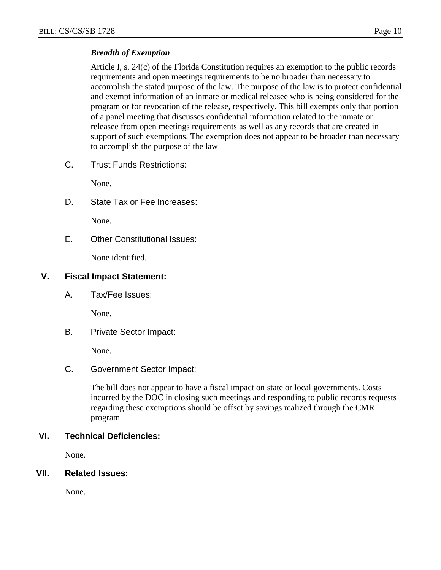### *Breadth of Exemption*

Article I, s. 24(c) of the Florida Constitution requires an exemption to the public records requirements and open meetings requirements to be no broader than necessary to accomplish the stated purpose of the law. The purpose of the law is to protect confidential and exempt information of an inmate or medical releasee who is being considered for the program or for revocation of the release, respectively. This bill exempts only that portion of a panel meeting that discusses confidential information related to the inmate or releasee from open meetings requirements as well as any records that are created in support of such exemptions. The exemption does not appear to be broader than necessary to accomplish the purpose of the law

C. Trust Funds Restrictions:

None.

D. State Tax or Fee Increases:

None.

E. Other Constitutional Issues:

None identified.

## **V. Fiscal Impact Statement:**

A. Tax/Fee Issues:

None.

B. Private Sector Impact:

None.

C. Government Sector Impact:

The bill does not appear to have a fiscal impact on state or local governments. Costs incurred by the DOC in closing such meetings and responding to public records requests regarding these exemptions should be offset by savings realized through the CMR program.

# **VI. Technical Deficiencies:**

None.

### **VII. Related Issues:**

None.